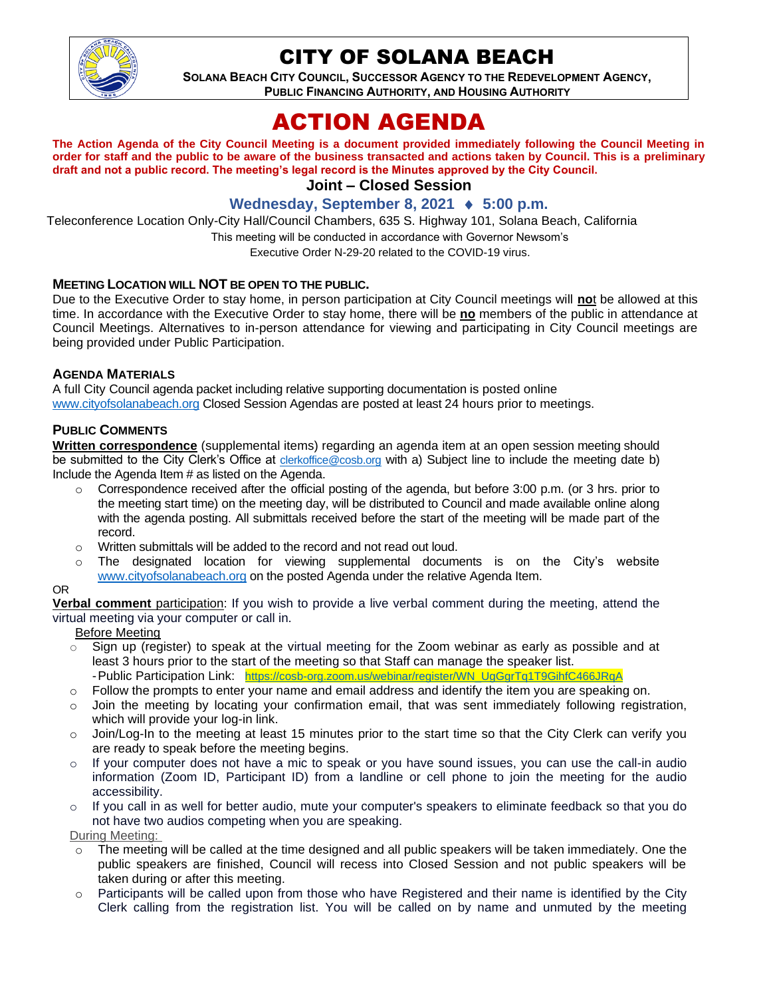

## CITY OF SOLANA BEACH

**SOLANA BEACH CITY COUNCIL, SUCCESSOR AGENCY TO THE REDEVELOPMENT AGENCY, PUBLIC FINANCING AUTHORITY, AND HOUSING AUTHORITY**

# ACTION AGENDA

**The Action Agenda of the City Council Meeting is a document provided immediately following the Council Meeting in order for staff and the public to be aware of the business transacted and actions taken by Council. This is a preliminary draft and not a public record. The meeting's legal record is the Minutes approved by the City Council.**

## **Joint – Closed Session**

### **Wednesday, September 8, 2021 ♦ 5:00 p.m.**

Teleconference Location Only-City Hall/Council Chambers, 635 S. Highway 101, Solana Beach, California

This meeting will be conducted in accordance with Governor Newsom's

Executive Order N-29-20 related to the COVID-19 virus.

#### **MEETING LOCATION WILL NOT BE OPEN TO THE PUBLIC.**

Due to the Executive Order to stay home, in person participation at City Council meetings will **no**t be allowed at this time. In accordance with the Executive Order to stay home, there will be **no** members of the public in attendance at Council Meetings. Alternatives to in-person attendance for viewing and participating in City Council meetings are being provided under Public Participation.

#### **AGENDA MATERIALS**

A full City Council agenda packet including relative supporting documentation is posted online [www.cityofsolanabeach.org](https://urldefense.proofpoint.com/v2/url?u=http-3A__www.cityofsolanabeach.org&d=DwQFAg&c=euGZstcaTDllvimEN8b7jXrwqOf-v5A_CdpgnVfiiMM&r=1XAsCUuqwK_tji2t0s1uIQ&m=wny2RVfZJ2tN24LkqZmkUWNpwL_peNtTZUBlTBZiMM4&s=6ATguqxJUOD7VVtloplAbyuyNaVcEh6Fl4q1iw55lCY&e=) Closed Session Agendas are posted at least 24 hours prior to meetings.

#### **PUBLIC COMMENTS**

**Written correspondence** (supplemental items) regarding an agenda item at an open session meeting should be submitted to the City Clerk's Office at [clerkoffice@cosb.org](mailto:clerkoffice@cosb.org) with a) Subject line to include the meeting date b) Include the Agenda Item # as listed on the Agenda.

- $\circ$  Correspondence received after the official posting of the agenda, but before 3:00 p.m. (or 3 hrs. prior to the meeting start time) on the meeting day, will be distributed to Council and made available online along with the agenda posting. All submittals received before the start of the meeting will be made part of the record.
- o Written submittals will be added to the record and not read out loud.
- $\circ$  The designated location for viewing supplemental documents is on the City's website [www.cityofsolanabeach.org](http://www.cityofsolanabeach.org/) on the posted Agenda under the relative Agenda Item.

#### OR

**Verbal comment** participation: If you wish to provide a live verbal comment during the meeting, attend the virtual meeting via your computer or call in.

Before Meeting

- $\circ$  Sign up (register) to speak at the virtual meeting for the Zoom webinar as early as possible and at least 3 hours prior to the start of the meeting so that Staff can manage the speaker list. -Public Participation Link: [https://cosb-org.zoom.us/webinar/register/WN\\_UgGgrTq1T9GihfC466JRqA](https://cosb-org.zoom.us/webinar/register/WN_UgGgrTq1T9GihfC466JRqA)
- $\circ$  Follow the prompts to enter your name and email address and identify the item you are speaking on.
- o Join the meeting by locating your confirmation email, that was sent immediately following registration,
- which will provide your log-in link. o Join/Log-In to the meeting at least 15 minutes prior to the start time so that the City Clerk can verify you
- are ready to speak before the meeting begins. o If your computer does not have a mic to speak or you have sound issues, you can use the call-in audio information (Zoom ID, Participant ID) from a landline or cell phone to join the meeting for the audio accessibility.
- $\circ$  If you call in as well for better audio, mute your computer's speakers to eliminate feedback so that you do not have two audios competing when you are speaking.

During Meeting:

- $\circ$  The meeting will be called at the time designed and all public speakers will be taken immediately. One the public speakers are finished, Council will recess into Closed Session and not public speakers will be taken during or after this meeting.
- o Participants will be called upon from those who have Registered and their name is identified by the City Clerk calling from the registration list. You will be called on by name and unmuted by the meeting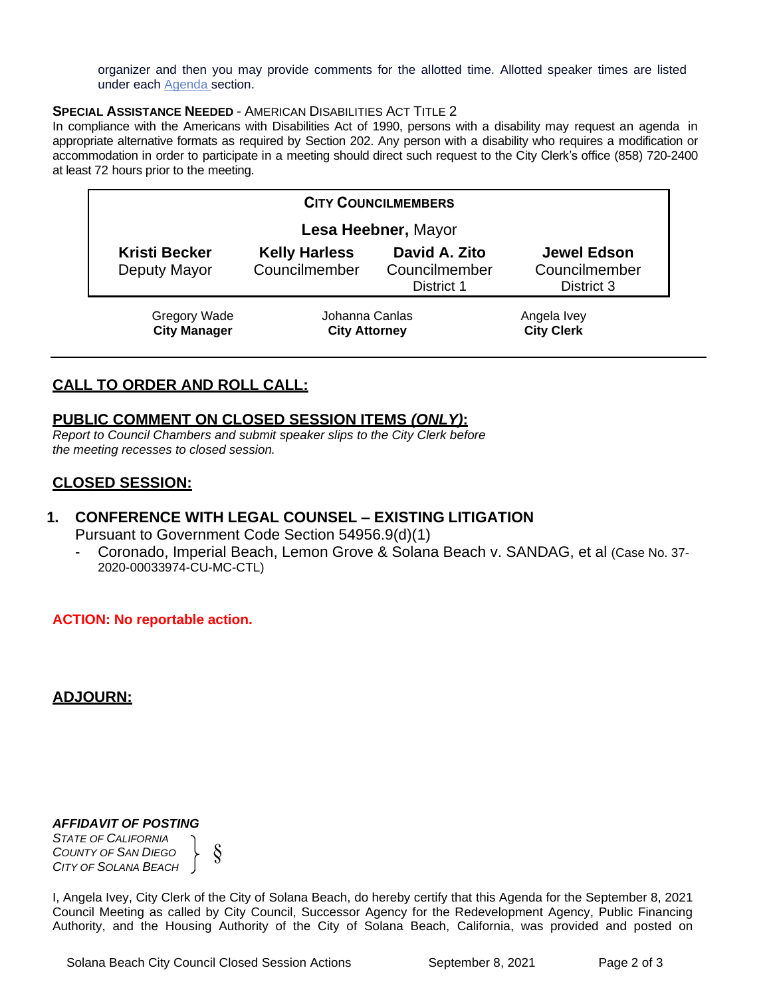organizer and then you may provide comments for the allotted time. Allotted speaker times are listed under each [Agenda s](https://urldefense.proofpoint.com/v2/url?u=https-3A__www.ci.solana-2Dbeach.ca.us_index.asp-3FSEC-3DF0F1200D-2D21C6-2D4A88-2D8AE1-2D0BC07C1A81A7-26Type-3DB-5FBASIC&d=DwMFaQ&c=euGZstcaTDllvimEN8b7jXrwqOf-v5A_CdpgnVfiiMM&r=1XAsCUuqwK_tji2t0s1uIQ&m=C7WzXfOw2_nkEFMJClT55zZsF4tmIf_7KTn0o1WpYqI&s=3DcsWExM2_nx_xpvFtXslUjphiXd0MDCCF18y_Qy5yU&e=)ection.

#### **SPECIAL ASSISTANCE NEEDED** - AMERICAN DISABILITIES ACT TITLE 2

In compliance with the Americans with Disabilities Act of 1990, persons with a disability may request an agenda in appropriate alternative formats as required by Section 202. Any person with a disability who requires a modification or accommodation in order to participate in a meeting should direct such request to the City Clerk's office (858) 720-2400 at least 72 hours prior to the meeting.

| <b>CITY COUNCILMEMBERS</b>                 |                                        |                                              |                                                   |
|--------------------------------------------|----------------------------------------|----------------------------------------------|---------------------------------------------------|
| Lesa Heebner, Mayor                        |                                        |                                              |                                                   |
| <b>Kristi Becker</b><br>Deputy Mayor       | <b>Kelly Harless</b><br>Councilmember  | David A. Zito<br>Councilmember<br>District 1 | <b>Jewel Edson</b><br>Councilmember<br>District 3 |
| <b>Gregory Wade</b><br><b>City Manager</b> | Johanna Canlas<br><b>City Attorney</b> |                                              | Angela Ivey<br><b>City Clerk</b>                  |

## **CALL TO ORDER AND ROLL CALL:**

## **PUBLIC COMMENT ON CLOSED SESSION ITEMS** *(ONLY)***:**

*Report to Council Chambers and submit speaker slips to the City Clerk before the meeting recesses to closed session.*

## **CLOSED SESSION:**

## **1. CONFERENCE WITH LEGAL COUNSEL – EXISTING LITIGATION** Pursuant to Government Code Section 54956.9(d)(1)

- Coronado, Imperial Beach, Lemon Grove & Solana Beach v. SANDAG, et al (Case No. 37- 2020-00033974-CU-MC-CTL)

#### **ACTION: No reportable action.**

## **ADJOURN:**

#### *AFFIDAVIT OF POSTING*

*STATE OF CALIFORNIA COUNTY OF SAN DIEGO CITY OF SOLANA BEACH* §

I, Angela Ivey, City Clerk of the City of Solana Beach, do hereby certify that this Agenda for the September 8, 2021 Council Meeting as called by City Council, Successor Agency for the Redevelopment Agency, Public Financing Authority, and the Housing Authority of the City of Solana Beach, California, was provided and posted on